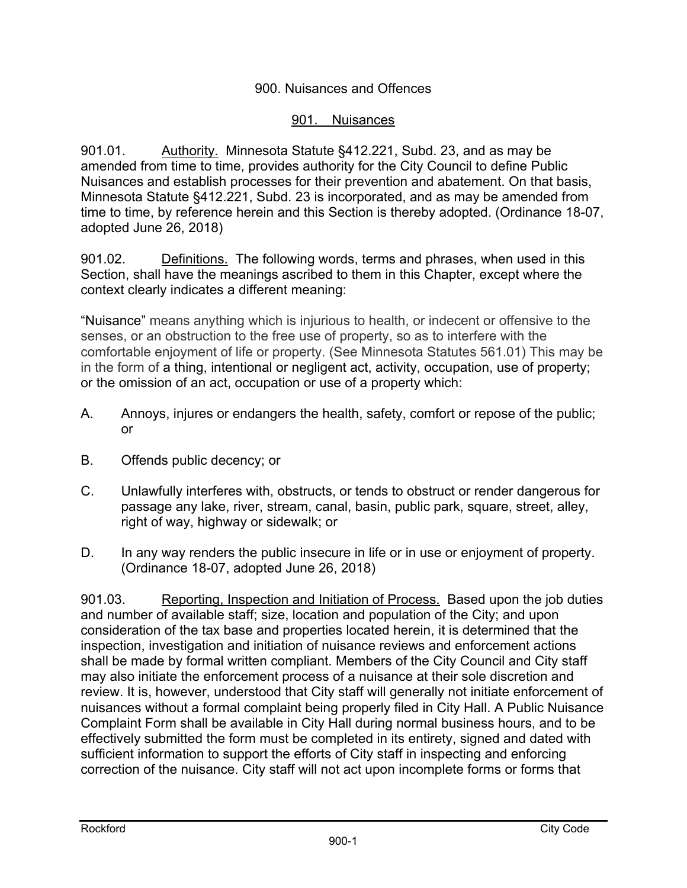# 900. Nuisances and Offences

# 901. Nuisances

901.01. Authority. Minnesota Statute §412.221, Subd. 23, and as may be amended from time to time, provides authority for the City Council to define Public Nuisances and establish processes for their prevention and abatement. On that basis, Minnesota Statute §412.221, Subd. 23 is incorporated, and as may be amended from time to time, by reference herein and this Section is thereby adopted. (Ordinance 18-07, adopted June 26, 2018)

901.02. Definitions. The following words, terms and phrases, when used in this Section, shall have the meanings ascribed to them in this Chapter, except where the context clearly indicates a different meaning:

"Nuisance" means anything which is injurious to health, or indecent or offensive to the senses, or an obstruction to the free use of property, so as to interfere with the comfortable enjoyment of life or property. (See Minnesota Statutes 561.01) This may be in the form of a thing, intentional or negligent act, activity, occupation, use of property; or the omission of an act, occupation or use of a property which:

- A. Annoys, injures or endangers the health, safety, comfort or repose of the public; or
- B. Offends public decency; or
- C. Unlawfully interferes with, obstructs, or tends to obstruct or render dangerous for passage any lake, river, stream, canal, basin, public park, square, street, alley, right of way, highway or sidewalk; or
- D. In any way renders the public insecure in life or in use or enjoyment of property. (Ordinance 18-07, adopted June 26, 2018)

901.03. Reporting, Inspection and Initiation of Process. Based upon the job duties and number of available staff; size, location and population of the City; and upon consideration of the tax base and properties located herein, it is determined that the inspection, investigation and initiation of nuisance reviews and enforcement actions shall be made by formal written compliant. Members of the City Council and City staff may also initiate the enforcement process of a nuisance at their sole discretion and review. It is, however, understood that City staff will generally not initiate enforcement of nuisances without a formal complaint being properly filed in City Hall. A Public Nuisance Complaint Form shall be available in City Hall during normal business hours, and to be effectively submitted the form must be completed in its entirety, signed and dated with sufficient information to support the efforts of City staff in inspecting and enforcing correction of the nuisance. City staff will not act upon incomplete forms or forms that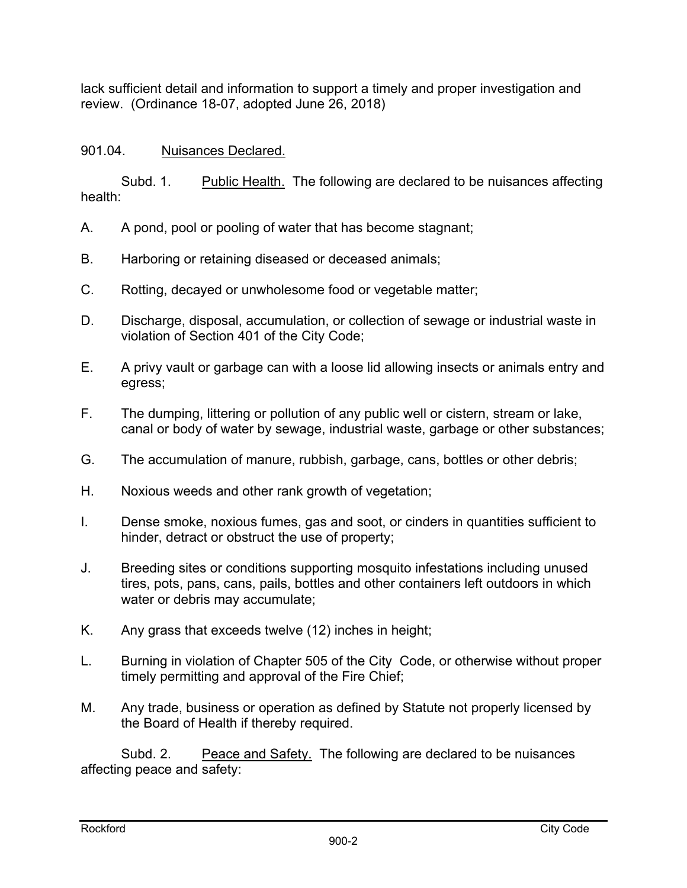lack sufficient detail and information to support a timely and proper investigation and review. (Ordinance 18-07, adopted June 26, 2018)

# 901.04. Nuisances Declared.

Subd. 1. Public Health. The following are declared to be nuisances affecting health:

- A. A pond, pool or pooling of water that has become stagnant;
- B. Harboring or retaining diseased or deceased animals;
- C. Rotting, decayed or unwholesome food or vegetable matter;
- D. Discharge, disposal, accumulation, or collection of sewage or industrial waste in violation of Section 401 of the City Code;
- E. A privy vault or garbage can with a loose lid allowing insects or animals entry and egress;
- F. The dumping, littering or pollution of any public well or cistern, stream or lake, canal or body of water by sewage, industrial waste, garbage or other substances;
- G. The accumulation of manure, rubbish, garbage, cans, bottles or other debris;
- H. Noxious weeds and other rank growth of vegetation;
- I. Dense smoke, noxious fumes, gas and soot, or cinders in quantities sufficient to hinder, detract or obstruct the use of property;
- J. Breeding sites or conditions supporting mosquito infestations including unused tires, pots, pans, cans, pails, bottles and other containers left outdoors in which water or debris may accumulate;
- K. Any grass that exceeds twelve (12) inches in height;
- L. Burning in violation of Chapter 505 of the City Code, or otherwise without proper timely permitting and approval of the Fire Chief;
- M. Any trade, business or operation as defined by Statute not properly licensed by the Board of Health if thereby required.

Subd. 2. Peace and Safety. The following are declared to be nuisances affecting peace and safety: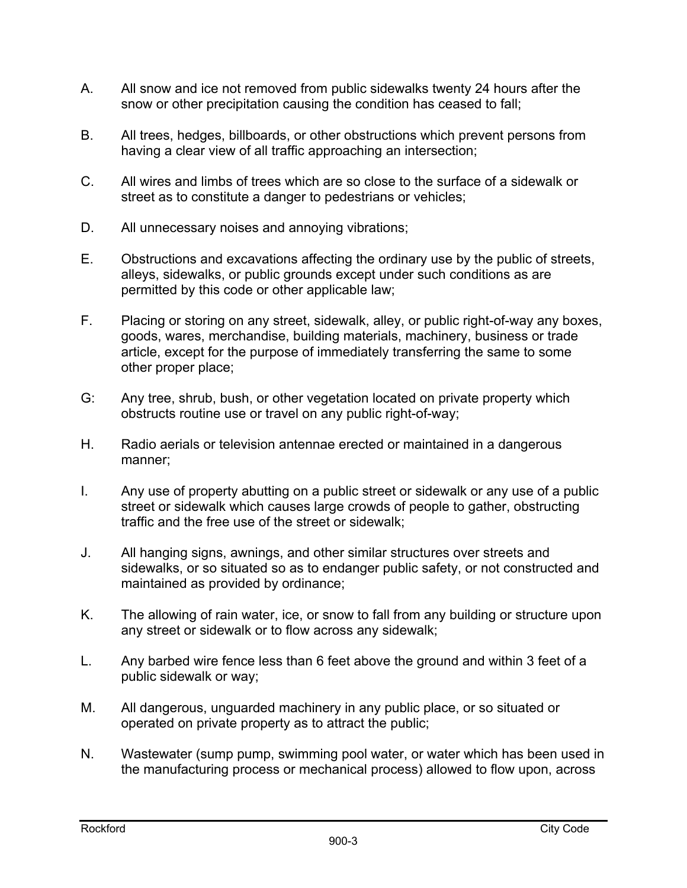- A. All snow and ice not removed from public sidewalks twenty 24 hours after the snow or other precipitation causing the condition has ceased to fall;
- B. All trees, hedges, billboards, or other obstructions which prevent persons from having a clear view of all traffic approaching an intersection;
- C. All wires and limbs of trees which are so close to the surface of a sidewalk or street as to constitute a danger to pedestrians or vehicles;
- D. All unnecessary noises and annoying vibrations;
- E. Obstructions and excavations affecting the ordinary use by the public of streets, alleys, sidewalks, or public grounds except under such conditions as are permitted by this code or other applicable law;
- F. Placing or storing on any street, sidewalk, alley, or public right-of-way any boxes, goods, wares, merchandise, building materials, machinery, business or trade article, except for the purpose of immediately transferring the same to some other proper place;
- G: Any tree, shrub, bush, or other vegetation located on private property which obstructs routine use or travel on any public right-of-way;
- H. Radio aerials or television antennae erected or maintained in a dangerous manner;
- I. Any use of property abutting on a public street or sidewalk or any use of a public street or sidewalk which causes large crowds of people to gather, obstructing traffic and the free use of the street or sidewalk;
- J. All hanging signs, awnings, and other similar structures over streets and sidewalks, or so situated so as to endanger public safety, or not constructed and maintained as provided by ordinance;
- K. The allowing of rain water, ice, or snow to fall from any building or structure upon any street or sidewalk or to flow across any sidewalk;
- L. Any barbed wire fence less than 6 feet above the ground and within 3 feet of a public sidewalk or way;
- M. All dangerous, unguarded machinery in any public place, or so situated or operated on private property as to attract the public;
- N. Wastewater (sump pump, swimming pool water, or water which has been used in the manufacturing process or mechanical process) allowed to flow upon, across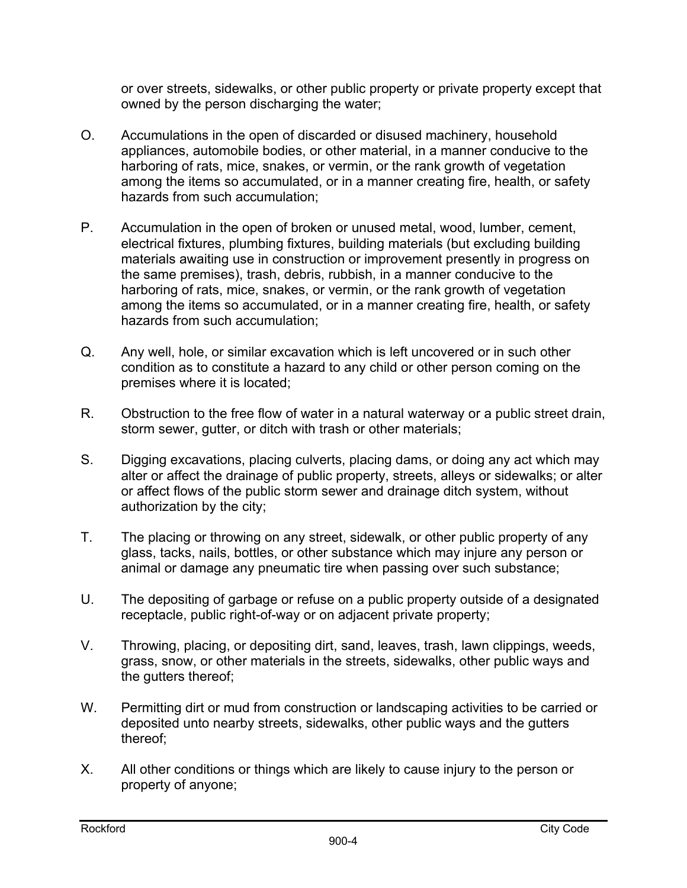or over streets, sidewalks, or other public property or private property except that owned by the person discharging the water;

- O. Accumulations in the open of discarded or disused machinery, household appliances, automobile bodies, or other material, in a manner conducive to the harboring of rats, mice, snakes, or vermin, or the rank growth of vegetation among the items so accumulated, or in a manner creating fire, health, or safety hazards from such accumulation;
- P. Accumulation in the open of broken or unused metal, wood, lumber, cement, electrical fixtures, plumbing fixtures, building materials (but excluding building materials awaiting use in construction or improvement presently in progress on the same premises), trash, debris, rubbish, in a manner conducive to the harboring of rats, mice, snakes, or vermin, or the rank growth of vegetation among the items so accumulated, or in a manner creating fire, health, or safety hazards from such accumulation;
- Q. Any well, hole, or similar excavation which is left uncovered or in such other condition as to constitute a hazard to any child or other person coming on the premises where it is located;
- R. Obstruction to the free flow of water in a natural waterway or a public street drain, storm sewer, gutter, or ditch with trash or other materials;
- S. Digging excavations, placing culverts, placing dams, or doing any act which may alter or affect the drainage of public property, streets, alleys or sidewalks; or alter or affect flows of the public storm sewer and drainage ditch system, without authorization by the city;
- T. The placing or throwing on any street, sidewalk, or other public property of any glass, tacks, nails, bottles, or other substance which may injure any person or animal or damage any pneumatic tire when passing over such substance;
- U. The depositing of garbage or refuse on a public property outside of a designated receptacle, public right-of-way or on adjacent private property;
- V. Throwing, placing, or depositing dirt, sand, leaves, trash, lawn clippings, weeds, grass, snow, or other materials in the streets, sidewalks, other public ways and the gutters thereof;
- W. Permitting dirt or mud from construction or landscaping activities to be carried or deposited unto nearby streets, sidewalks, other public ways and the gutters thereof;
- X. All other conditions or things which are likely to cause injury to the person or property of anyone;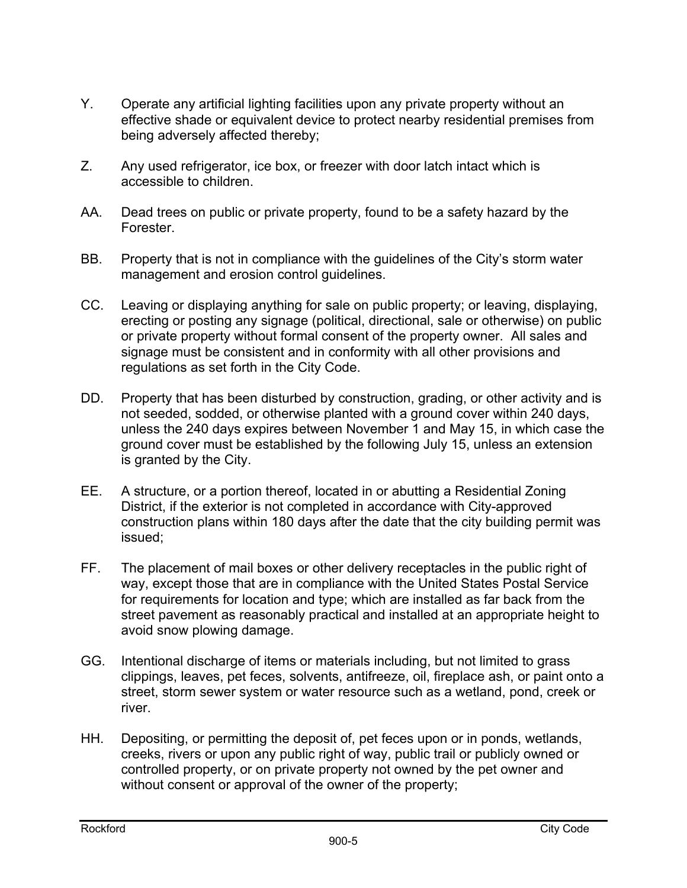- Y. Operate any artificial lighting facilities upon any private property without an effective shade or equivalent device to protect nearby residential premises from being adversely affected thereby;
- Z. Any used refrigerator, ice box, or freezer with door latch intact which is accessible to children.
- AA. Dead trees on public or private property, found to be a safety hazard by the Forester.
- BB. Property that is not in compliance with the guidelines of the City's storm water management and erosion control guidelines.
- CC. Leaving or displaying anything for sale on public property; or leaving, displaying, erecting or posting any signage (political, directional, sale or otherwise) on public or private property without formal consent of the property owner. All sales and signage must be consistent and in conformity with all other provisions and regulations as set forth in the City Code.
- DD. Property that has been disturbed by construction, grading, or other activity and is not seeded, sodded, or otherwise planted with a ground cover within 240 days, unless the 240 days expires between November 1 and May 15, in which case the ground cover must be established by the following July 15, unless an extension is granted by the City.
- EE. A structure, or a portion thereof, located in or abutting a Residential Zoning District, if the exterior is not completed in accordance with City-approved construction plans within 180 days after the date that the city building permit was issued;
- FF. The placement of mail boxes or other delivery receptacles in the public right of way, except those that are in compliance with the United States Postal Service for requirements for location and type; which are installed as far back from the street pavement as reasonably practical and installed at an appropriate height to avoid snow plowing damage.
- GG. Intentional discharge of items or materials including, but not limited to grass clippings, leaves, pet feces, solvents, antifreeze, oil, fireplace ash, or paint onto a street, storm sewer system or water resource such as a wetland, pond, creek or river.
- HH. Depositing, or permitting the deposit of, pet feces upon or in ponds, wetlands, creeks, rivers or upon any public right of way, public trail or publicly owned or controlled property, or on private property not owned by the pet owner and without consent or approval of the owner of the property;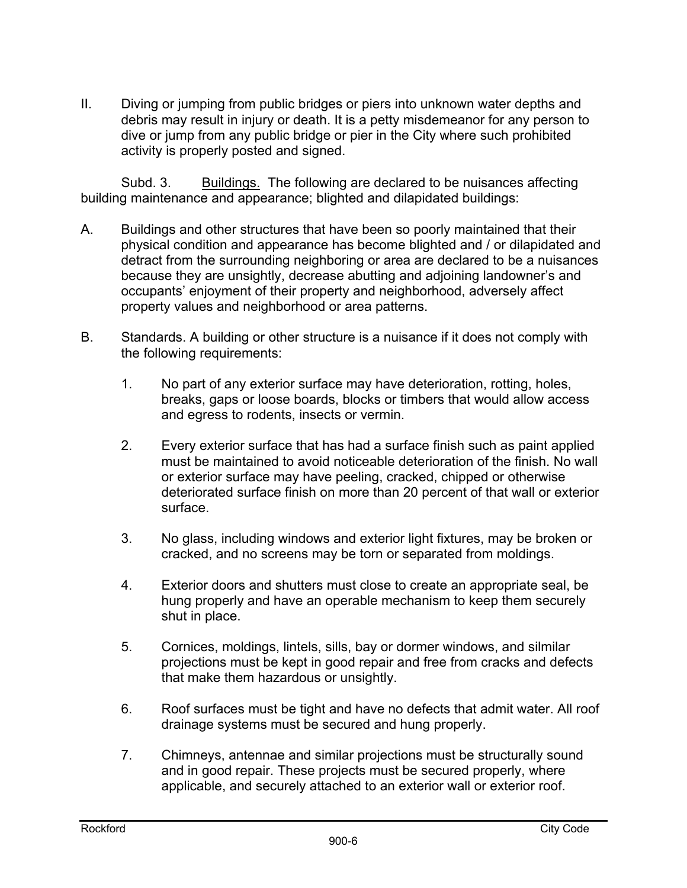II. Diving or jumping from public bridges or piers into unknown water depths and debris may result in injury or death. It is a petty misdemeanor for any person to dive or jump from any public bridge or pier in the City where such prohibited activity is properly posted and signed.

Subd. 3. Buildings. The following are declared to be nuisances affecting building maintenance and appearance; blighted and dilapidated buildings:

- A. Buildings and other structures that have been so poorly maintained that their physical condition and appearance has become blighted and / or dilapidated and detract from the surrounding neighboring or area are declared to be a nuisances because they are unsightly, decrease abutting and adjoining landowner's and occupants' enjoyment of their property and neighborhood, adversely affect property values and neighborhood or area patterns.
- B. Standards. A building or other structure is a nuisance if it does not comply with the following requirements:
	- 1. No part of any exterior surface may have deterioration, rotting, holes, breaks, gaps or loose boards, blocks or timbers that would allow access and egress to rodents, insects or vermin.
	- 2. Every exterior surface that has had a surface finish such as paint applied must be maintained to avoid noticeable deterioration of the finish. No wall or exterior surface may have peeling, cracked, chipped or otherwise deteriorated surface finish on more than 20 percent of that wall or exterior surface.
	- 3. No glass, including windows and exterior light fixtures, may be broken or cracked, and no screens may be torn or separated from moldings.
	- 4. Exterior doors and shutters must close to create an appropriate seal, be hung properly and have an operable mechanism to keep them securely shut in place.
	- 5. Cornices, moldings, lintels, sills, bay or dormer windows, and silmilar projections must be kept in good repair and free from cracks and defects that make them hazardous or unsightly.
	- 6. Roof surfaces must be tight and have no defects that admit water. All roof drainage systems must be secured and hung properly.
	- 7. Chimneys, antennae and similar projections must be structurally sound and in good repair. These projects must be secured properly, where applicable, and securely attached to an exterior wall or exterior roof.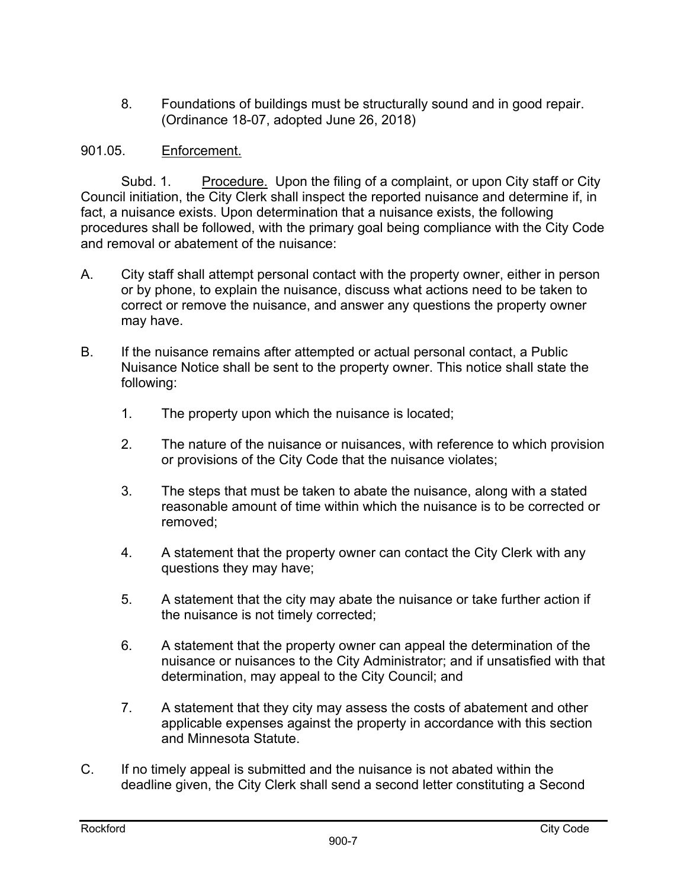8. Foundations of buildings must be structurally sound and in good repair. (Ordinance 18-07, adopted June 26, 2018)

# 901.05. Enforcement.

Subd. 1. Procedure. Upon the filing of a complaint, or upon City staff or City Council initiation, the City Clerk shall inspect the reported nuisance and determine if, in fact, a nuisance exists. Upon determination that a nuisance exists, the following procedures shall be followed, with the primary goal being compliance with the City Code and removal or abatement of the nuisance:

- A. City staff shall attempt personal contact with the property owner, either in person or by phone, to explain the nuisance, discuss what actions need to be taken to correct or remove the nuisance, and answer any questions the property owner may have.
- B. If the nuisance remains after attempted or actual personal contact, a Public Nuisance Notice shall be sent to the property owner. This notice shall state the following:
	- 1. The property upon which the nuisance is located;
	- 2. The nature of the nuisance or nuisances, with reference to which provision or provisions of the City Code that the nuisance violates;
	- 3. The steps that must be taken to abate the nuisance, along with a stated reasonable amount of time within which the nuisance is to be corrected or removed;
	- 4. A statement that the property owner can contact the City Clerk with any questions they may have;
	- 5. A statement that the city may abate the nuisance or take further action if the nuisance is not timely corrected;
	- 6. A statement that the property owner can appeal the determination of the nuisance or nuisances to the City Administrator; and if unsatisfied with that determination, may appeal to the City Council; and
	- 7. A statement that they city may assess the costs of abatement and other applicable expenses against the property in accordance with this section and Minnesota Statute.
- C. If no timely appeal is submitted and the nuisance is not abated within the deadline given, the City Clerk shall send a second letter constituting a Second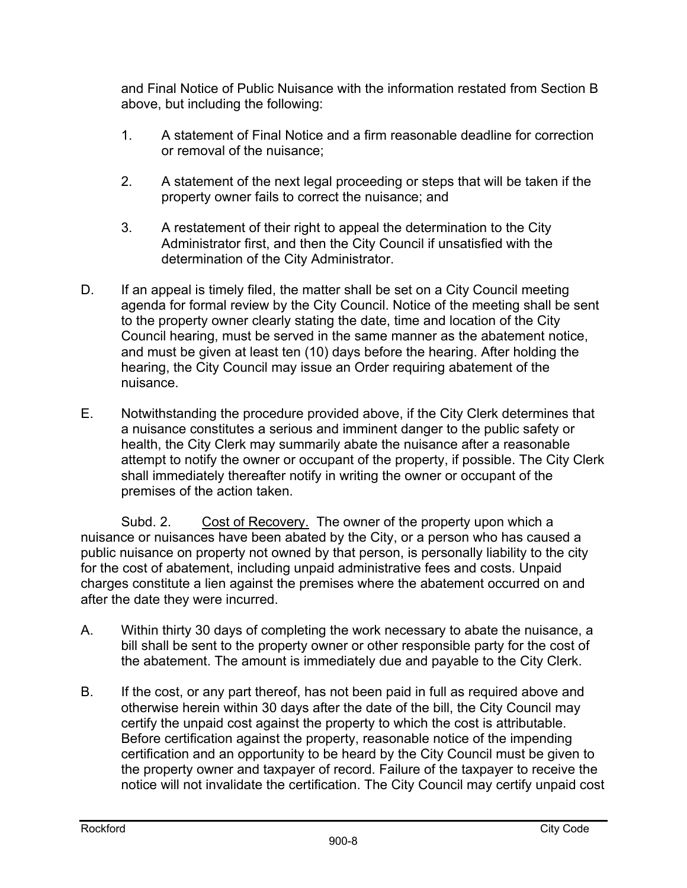and Final Notice of Public Nuisance with the information restated from Section B above, but including the following:

- 1. A statement of Final Notice and a firm reasonable deadline for correction or removal of the nuisance;
- 2. A statement of the next legal proceeding or steps that will be taken if the property owner fails to correct the nuisance; and
- 3. A restatement of their right to appeal the determination to the City Administrator first, and then the City Council if unsatisfied with the determination of the City Administrator.
- D. If an appeal is timely filed, the matter shall be set on a City Council meeting agenda for formal review by the City Council. Notice of the meeting shall be sent to the property owner clearly stating the date, time and location of the City Council hearing, must be served in the same manner as the abatement notice, and must be given at least ten (10) days before the hearing. After holding the hearing, the City Council may issue an Order requiring abatement of the nuisance.
- E. Notwithstanding the procedure provided above, if the City Clerk determines that a nuisance constitutes a serious and imminent danger to the public safety or health, the City Clerk may summarily abate the nuisance after a reasonable attempt to notify the owner or occupant of the property, if possible. The City Clerk shall immediately thereafter notify in writing the owner or occupant of the premises of the action taken.

Subd. 2. Cost of Recovery. The owner of the property upon which a nuisance or nuisances have been abated by the City, or a person who has caused a public nuisance on property not owned by that person, is personally liability to the city for the cost of abatement, including unpaid administrative fees and costs. Unpaid charges constitute a lien against the premises where the abatement occurred on and after the date they were incurred.

- A. Within thirty 30 days of completing the work necessary to abate the nuisance, a bill shall be sent to the property owner or other responsible party for the cost of the abatement. The amount is immediately due and payable to the City Clerk.
- B. If the cost, or any part thereof, has not been paid in full as required above and otherwise herein within 30 days after the date of the bill, the City Council may certify the unpaid cost against the property to which the cost is attributable. Before certification against the property, reasonable notice of the impending certification and an opportunity to be heard by the City Council must be given to the property owner and taxpayer of record. Failure of the taxpayer to receive the notice will not invalidate the certification. The City Council may certify unpaid cost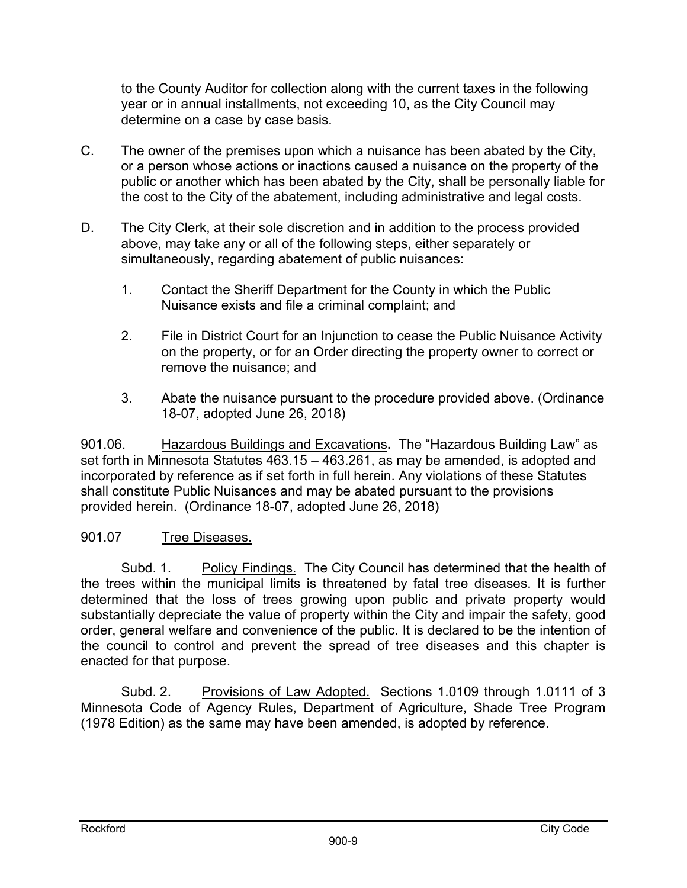to the County Auditor for collection along with the current taxes in the following year or in annual installments, not exceeding 10, as the City Council may determine on a case by case basis.

- C. The owner of the premises upon which a nuisance has been abated by the City, or a person whose actions or inactions caused a nuisance on the property of the public or another which has been abated by the City, shall be personally liable for the cost to the City of the abatement, including administrative and legal costs.
- D. The City Clerk, at their sole discretion and in addition to the process provided above, may take any or all of the following steps, either separately or simultaneously, regarding abatement of public nuisances:
	- 1. Contact the Sheriff Department for the County in which the Public Nuisance exists and file a criminal complaint; and
	- 2. File in District Court for an Injunction to cease the Public Nuisance Activity on the property, or for an Order directing the property owner to correct or remove the nuisance; and
	- 3. Abate the nuisance pursuant to the procedure provided above. (Ordinance 18-07, adopted June 26, 2018)

901.06. Hazardous Buildings and Excavations**.** The "Hazardous Building Law" as set forth in Minnesota Statutes 463.15 – 463.261, as may be amended, is adopted and incorporated by reference as if set forth in full herein. Any violations of these Statutes shall constitute Public Nuisances and may be abated pursuant to the provisions provided herein. (Ordinance 18-07, adopted June 26, 2018)

## 901.07 Tree Diseases.

Subd. 1. Policy Findings. The City Council has determined that the health of the trees within the municipal limits is threatened by fatal tree diseases. It is further determined that the loss of trees growing upon public and private property would substantially depreciate the value of property within the City and impair the safety, good order, general welfare and convenience of the public. It is declared to be the intention of the council to control and prevent the spread of tree diseases and this chapter is enacted for that purpose.

Subd. 2. Provisions of Law Adopted. Sections 1.0109 through 1.0111 of 3 Minnesota Code of Agency Rules, Department of Agriculture, Shade Tree Program (1978 Edition) as the same may have been amended, is adopted by reference.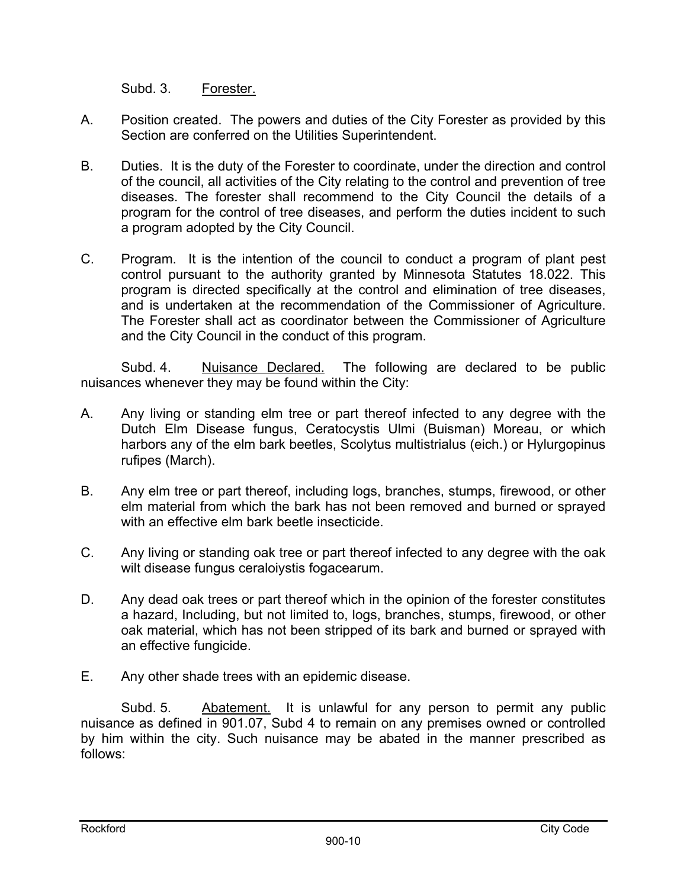Subd. 3. Forester.

- A. Position created. The powers and duties of the City Forester as provided by this Section are conferred on the Utilities Superintendent.
- B. Duties. It is the duty of the Forester to coordinate, under the direction and control of the council, all activities of the City relating to the control and prevention of tree diseases. The forester shall recommend to the City Council the details of a program for the control of tree diseases, and perform the duties incident to such a program adopted by the City Council.
- C. Program. It is the intention of the council to conduct a program of plant pest control pursuant to the authority granted by Minnesota Statutes 18.022. This program is directed specifically at the control and elimination of tree diseases, and is undertaken at the recommendation of the Commissioner of Agriculture. The Forester shall act as coordinator between the Commissioner of Agriculture and the City Council in the conduct of this program.

Subd. 4. Nuisance Declared. The following are declared to be public nuisances whenever they may be found within the City:

- A. Any living or standing elm tree or part thereof infected to any degree with the Dutch Elm Disease fungus, Ceratocystis Ulmi (Buisman) Moreau, or which harbors any of the elm bark beetles, Scolytus multistrialus (eich.) or Hylurgopinus rufipes (March).
- B. Any elm tree or part thereof, including logs, branches, stumps, firewood, or other elm material from which the bark has not been removed and burned or sprayed with an effective elm bark beetle insecticide.
- C. Any living or standing oak tree or part thereof infected to any degree with the oak wilt disease fungus ceraloiystis fogacearum.
- D. Any dead oak trees or part thereof which in the opinion of the forester constitutes a hazard, Including, but not limited to, logs, branches, stumps, firewood, or other oak material, which has not been stripped of its bark and burned or sprayed with an effective fungicide.
- E. Any other shade trees with an epidemic disease.

Subd. 5. Abatement. It is unlawful for any person to permit any public nuisance as defined in 901.07, Subd 4 to remain on any premises owned or controlled by him within the city. Such nuisance may be abated in the manner prescribed as follows: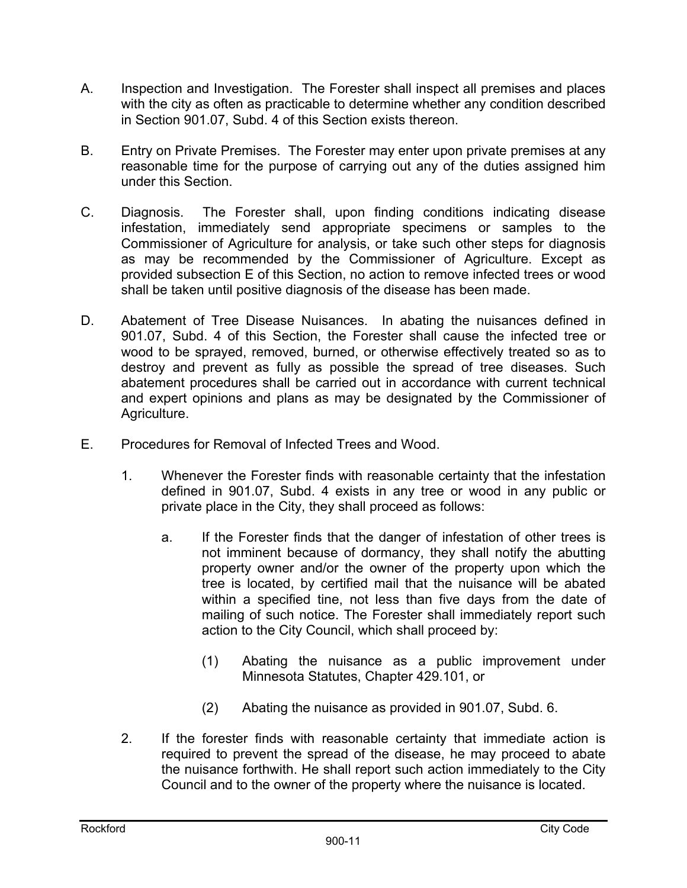- A. Inspection and Investigation. The Forester shall inspect all premises and places with the city as often as practicable to determine whether any condition described in Section 901.07, Subd. 4 of this Section exists thereon.
- B. Entry on Private Premises. The Forester may enter upon private premises at any reasonable time for the purpose of carrying out any of the duties assigned him under this Section.
- C. Diagnosis. The Forester shall, upon finding conditions indicating disease infestation, immediately send appropriate specimens or samples to the Commissioner of Agriculture for analysis, or take such other steps for diagnosis as may be recommended by the Commissioner of Agriculture. Except as provided subsection E of this Section, no action to remove infected trees or wood shall be taken until positive diagnosis of the disease has been made.
- D. Abatement of Tree Disease Nuisances. In abating the nuisances defined in 901.07, Subd. 4 of this Section, the Forester shall cause the infected tree or wood to be sprayed, removed, burned, or otherwise effectively treated so as to destroy and prevent as fully as possible the spread of tree diseases. Such abatement procedures shall be carried out in accordance with current technical and expert opinions and plans as may be designated by the Commissioner of Agriculture.
- E. Procedures for Removal of Infected Trees and Wood.
	- 1. Whenever the Forester finds with reasonable certainty that the infestation defined in 901.07, Subd. 4 exists in any tree or wood in any public or private place in the City, they shall proceed as follows:
		- a. If the Forester finds that the danger of infestation of other trees is not imminent because of dormancy, they shall notify the abutting property owner and/or the owner of the property upon which the tree is located, by certified mail that the nuisance will be abated within a specified tine, not less than five days from the date of mailing of such notice. The Forester shall immediately report such action to the City Council, which shall proceed by:
			- (1) Abating the nuisance as a public improvement under Minnesota Statutes, Chapter 429.101, or
			- (2) Abating the nuisance as provided in 901.07, Subd. 6.
	- 2. If the forester finds with reasonable certainty that immediate action is required to prevent the spread of the disease, he may proceed to abate the nuisance forthwith. He shall report such action immediately to the City Council and to the owner of the property where the nuisance is located.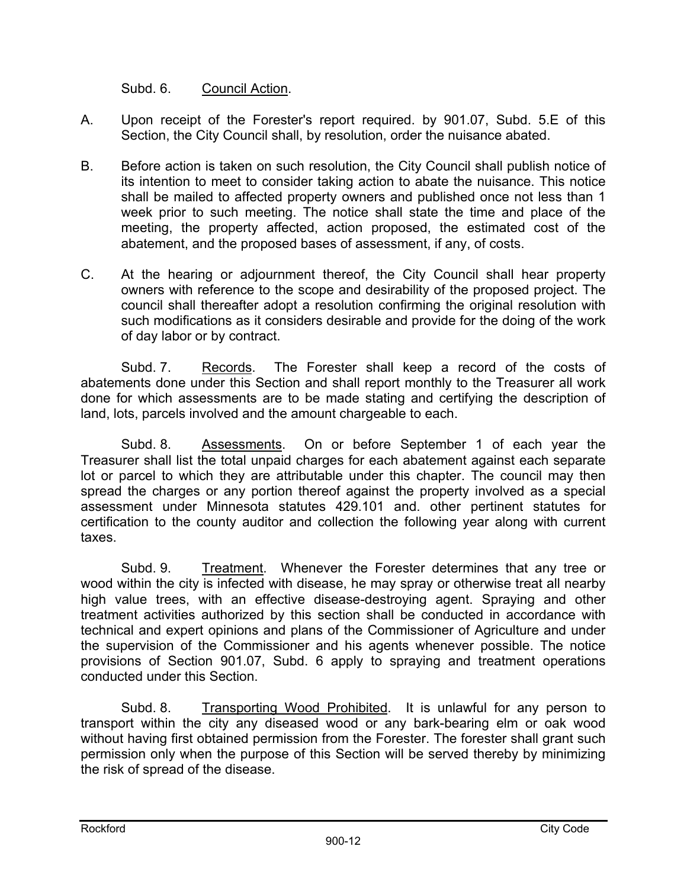Subd. 6. Council Action.

- A. Upon receipt of the Forester's report required. by 901.07, Subd. 5.E of this Section, the City Council shall, by resolution, order the nuisance abated.
- B. Before action is taken on such resolution, the City Council shall publish notice of its intention to meet to consider taking action to abate the nuisance. This notice shall be mailed to affected property owners and published once not less than 1 week prior to such meeting. The notice shall state the time and place of the meeting, the property affected, action proposed, the estimated cost of the abatement, and the proposed bases of assessment, if any, of costs.
- C. At the hearing or adjournment thereof, the City Council shall hear property owners with reference to the scope and desirability of the proposed project. The council shall thereafter adopt a resolution confirming the original resolution with such modifications as it considers desirable and provide for the doing of the work of day labor or by contract.

Subd. 7. Records. The Forester shall keep a record of the costs of abatements done under this Section and shall report monthly to the Treasurer all work done for which assessments are to be made stating and certifying the description of land, lots, parcels involved and the amount chargeable to each.

Subd. 8. Assessments. On or before September 1 of each year the Treasurer shall list the total unpaid charges for each abatement against each separate lot or parcel to which they are attributable under this chapter. The council may then spread the charges or any portion thereof against the property involved as a special assessment under Minnesota statutes 429.101 and. other pertinent statutes for certification to the county auditor and collection the following year along with current taxes.

Subd. 9. Treatment. Whenever the Forester determines that any tree or wood within the city is infected with disease, he may spray or otherwise treat all nearby high value trees, with an effective disease-destroying agent. Spraying and other treatment activities authorized by this section shall be conducted in accordance with technical and expert opinions and plans of the Commissioner of Agriculture and under the supervision of the Commissioner and his agents whenever possible. The notice provisions of Section 901.07, Subd. 6 apply to spraying and treatment operations conducted under this Section.

Subd. 8. Transporting Wood Prohibited. It is unlawful for any person to transport within the city any diseased wood or any bark-bearing elm or oak wood without having first obtained permission from the Forester. The forester shall grant such permission only when the purpose of this Section will be served thereby by minimizing the risk of spread of the disease.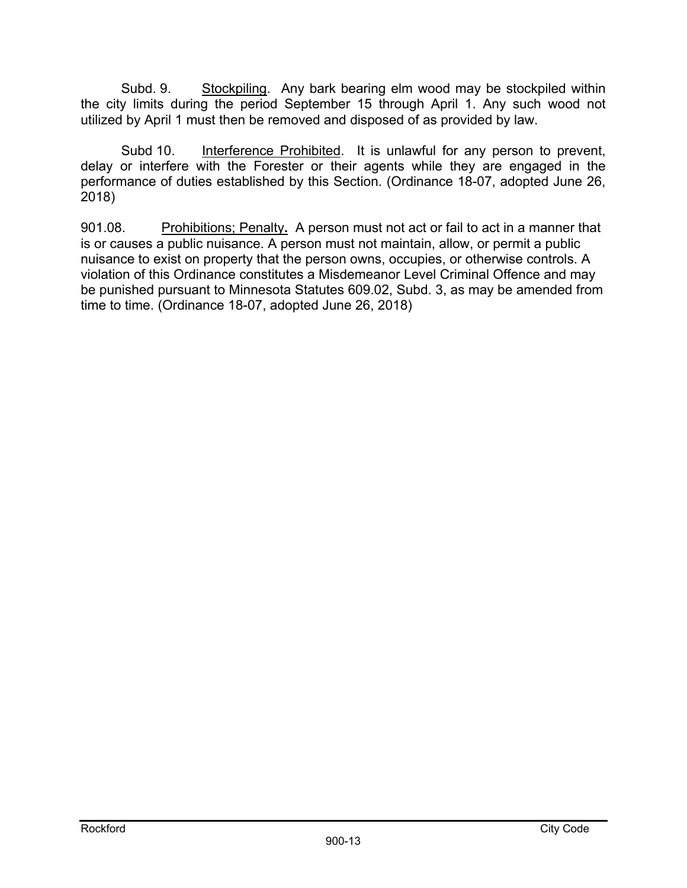Subd. 9. Stockpiling. Any bark bearing elm wood may be stockpiled within the city limits during the period September 15 through April 1. Any such wood not utilized by April 1 must then be removed and disposed of as provided by law.

Subd 10. Interference Prohibited. It is unlawful for any person to prevent, delay or interfere with the Forester or their agents while they are engaged in the performance of duties established by this Section. (Ordinance 18-07, adopted June 26, 2018)

901.08. Prohibitions; Penalty**.** A person must not act or fail to act in a manner that is or causes a public nuisance. A person must not maintain, allow, or permit a public nuisance to exist on property that the person owns, occupies, or otherwise controls. A violation of this Ordinance constitutes a Misdemeanor Level Criminal Offence and may be punished pursuant to Minnesota Statutes 609.02, Subd. 3, as may be amended from time to time. (Ordinance 18-07, adopted June 26, 2018)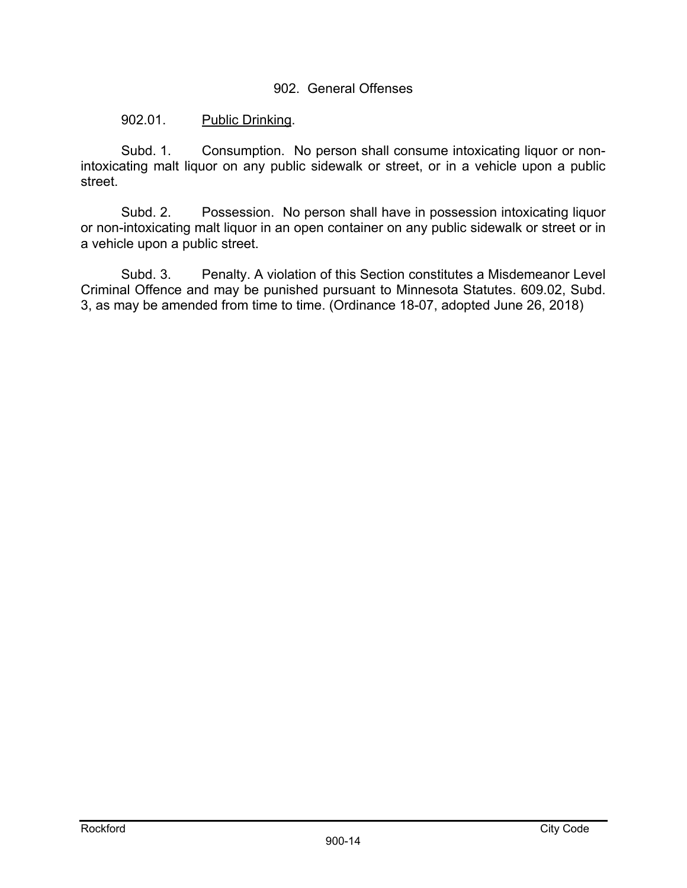### 902. General Offenses

### 902.01. Public Drinking.

 Subd. 1. Consumption. No person shall consume intoxicating liquor or nonintoxicating malt liquor on any public sidewalk or street, or in a vehicle upon a public street.

 Subd. 2. Possession. No person shall have in possession intoxicating liquor or non-intoxicating malt liquor in an open container on any public sidewalk or street or in a vehicle upon a public street.

Subd. 3. Penalty. A violation of this Section constitutes a Misdemeanor Level Criminal Offence and may be punished pursuant to Minnesota Statutes. 609.02, Subd. 3, as may be amended from time to time. (Ordinance 18-07, adopted June 26, 2018)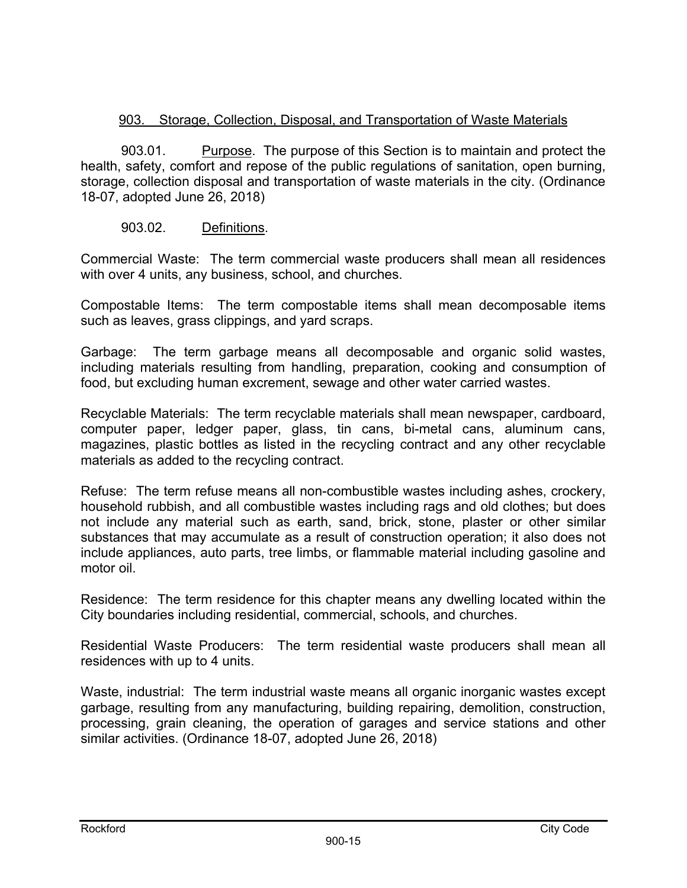# 903. Storage, Collection, Disposal, and Transportation of Waste Materials

903.01. Purpose. The purpose of this Section is to maintain and protect the health, safety, comfort and repose of the public regulations of sanitation, open burning, storage, collection disposal and transportation of waste materials in the city. (Ordinance 18-07, adopted June 26, 2018)

## 903.02. Definitions.

Commercial Waste: The term commercial waste producers shall mean all residences with over 4 units, any business, school, and churches.

Compostable Items: The term compostable items shall mean decomposable items such as leaves, grass clippings, and yard scraps.

Garbage: The term garbage means all decomposable and organic solid wastes, including materials resulting from handling, preparation, cooking and consumption of food, but excluding human excrement, sewage and other water carried wastes.

Recyclable Materials: The term recyclable materials shall mean newspaper, cardboard, computer paper, ledger paper, glass, tin cans, bi-metal cans, aluminum cans, magazines, plastic bottles as listed in the recycling contract and any other recyclable materials as added to the recycling contract.

Refuse: The term refuse means all non-combustible wastes including ashes, crockery, household rubbish, and all combustible wastes including rags and old clothes; but does not include any material such as earth, sand, brick, stone, plaster or other similar substances that may accumulate as a result of construction operation; it also does not include appliances, auto parts, tree limbs, or flammable material including gasoline and motor oil.

Residence: The term residence for this chapter means any dwelling located within the City boundaries including residential, commercial, schools, and churches.

Residential Waste Producers: The term residential waste producers shall mean all residences with up to 4 units.

Waste, industrial: The term industrial waste means all organic inorganic wastes except garbage, resulting from any manufacturing, building repairing, demolition, construction, processing, grain cleaning, the operation of garages and service stations and other similar activities. (Ordinance 18-07, adopted June 26, 2018)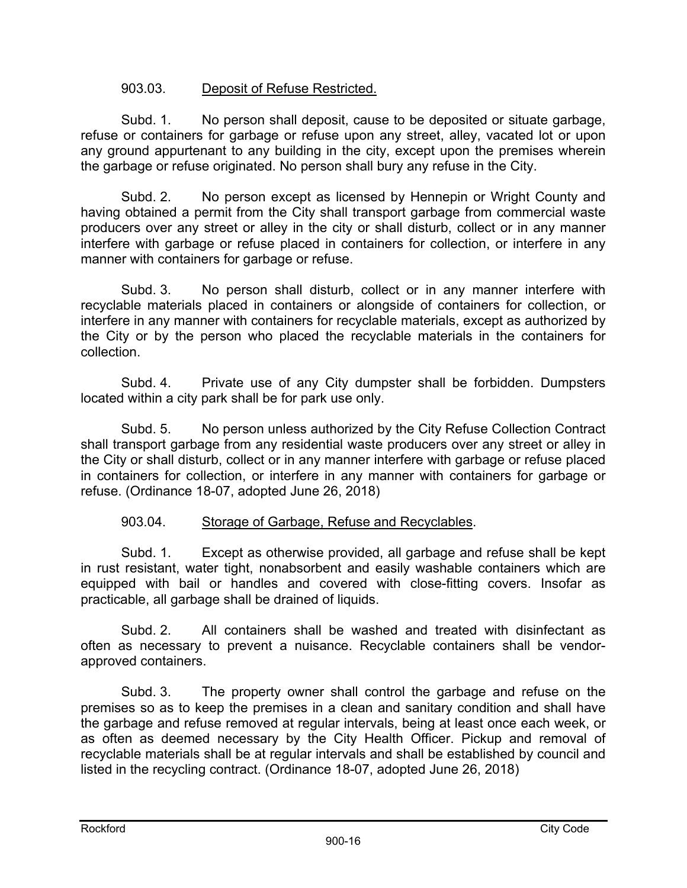## 903.03. Deposit of Refuse Restricted.

Subd. 1. No person shall deposit, cause to be deposited or situate garbage, refuse or containers for garbage or refuse upon any street, alley, vacated lot or upon any ground appurtenant to any building in the city, except upon the premises wherein the garbage or refuse originated. No person shall bury any refuse in the City.

Subd. 2. No person except as licensed by Hennepin or Wright County and having obtained a permit from the City shall transport garbage from commercial waste producers over any street or alley in the city or shall disturb, collect or in any manner interfere with garbage or refuse placed in containers for collection, or interfere in any manner with containers for garbage or refuse.

Subd. 3. No person shall disturb, collect or in any manner interfere with recyclable materials placed in containers or alongside of containers for collection, or interfere in any manner with containers for recyclable materials, except as authorized by the City or by the person who placed the recyclable materials in the containers for collection.

Subd. 4. Private use of any City dumpster shall be forbidden. Dumpsters located within a city park shall be for park use only.

Subd. 5. No person unless authorized by the City Refuse Collection Contract shall transport garbage from any residential waste producers over any street or alley in the City or shall disturb, collect or in any manner interfere with garbage or refuse placed in containers for collection, or interfere in any manner with containers for garbage or refuse. (Ordinance 18-07, adopted June 26, 2018)

## 903.04. Storage of Garbage, Refuse and Recyclables.

Subd. 1. Except as otherwise provided, all garbage and refuse shall be kept in rust resistant, water tight, nonabsorbent and easily washable containers which are equipped with bail or handles and covered with close-fitting covers. Insofar as practicable, all garbage shall be drained of liquids.

Subd. 2. All containers shall be washed and treated with disinfectant as often as necessary to prevent a nuisance. Recyclable containers shall be vendorapproved containers.

Subd. 3. The property owner shall control the garbage and refuse on the premises so as to keep the premises in a clean and sanitary condition and shall have the garbage and refuse removed at regular intervals, being at least once each week, or as often as deemed necessary by the City Health Officer. Pickup and removal of recyclable materials shall be at regular intervals and shall be established by council and listed in the recycling contract. (Ordinance 18-07, adopted June 26, 2018)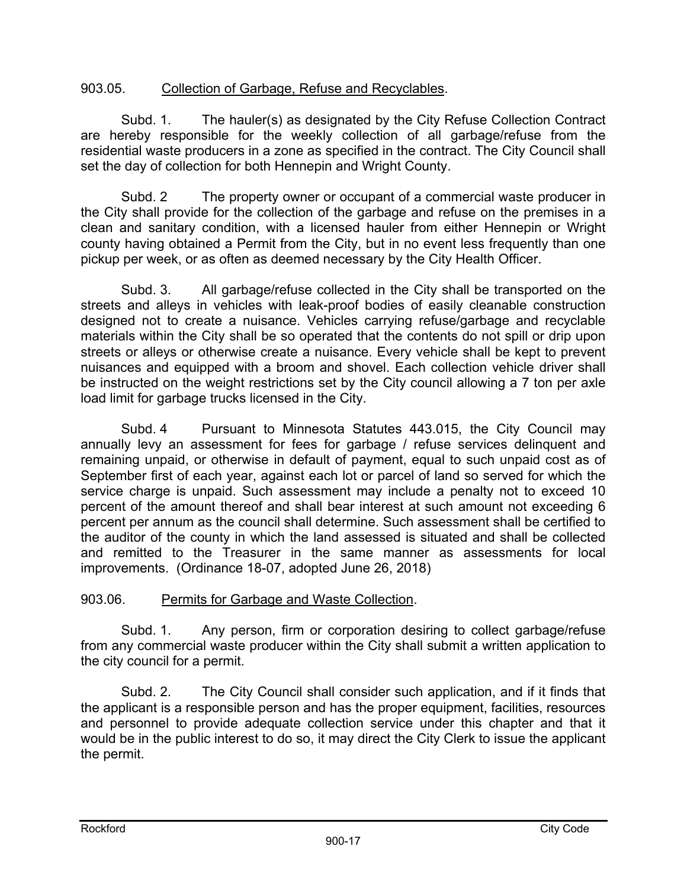## 903.05. Collection of Garbage, Refuse and Recyclables.

Subd. 1. The hauler(s) as designated by the City Refuse Collection Contract are hereby responsible for the weekly collection of all garbage/refuse from the residential waste producers in a zone as specified in the contract. The City Council shall set the day of collection for both Hennepin and Wright County.

Subd. 2 The property owner or occupant of a commercial waste producer in the City shall provide for the collection of the garbage and refuse on the premises in a clean and sanitary condition, with a licensed hauler from either Hennepin or Wright county having obtained a Permit from the City, but in no event less frequently than one pickup per week, or as often as deemed necessary by the City Health Officer.

Subd. 3. All garbage/refuse collected in the City shall be transported on the streets and alleys in vehicles with leak-proof bodies of easily cleanable construction designed not to create a nuisance. Vehicles carrying refuse/garbage and recyclable materials within the City shall be so operated that the contents do not spill or drip upon streets or alleys or otherwise create a nuisance. Every vehicle shall be kept to prevent nuisances and equipped with a broom and shovel. Each collection vehicle driver shall be instructed on the weight restrictions set by the City council allowing a 7 ton per axle load limit for garbage trucks licensed in the City.

Subd. 4 Pursuant to Minnesota Statutes 443.015, the City Council may annually levy an assessment for fees for garbage / refuse services delinquent and remaining unpaid, or otherwise in default of payment, equal to such unpaid cost as of September first of each year, against each lot or parcel of land so served for which the service charge is unpaid. Such assessment may include a penalty not to exceed 10 percent of the amount thereof and shall bear interest at such amount not exceeding 6 percent per annum as the council shall determine. Such assessment shall be certified to the auditor of the county in which the land assessed is situated and shall be collected and remitted to the Treasurer in the same manner as assessments for local improvements. (Ordinance 18-07, adopted June 26, 2018)

#### 903.06. Permits for Garbage and Waste Collection.

Subd. 1. Any person, firm or corporation desiring to collect garbage/refuse from any commercial waste producer within the City shall submit a written application to the city council for a permit.

Subd. 2. The City Council shall consider such application, and if it finds that the applicant is a responsible person and has the proper equipment, facilities, resources and personnel to provide adequate collection service under this chapter and that it would be in the public interest to do so, it may direct the City Clerk to issue the applicant the permit.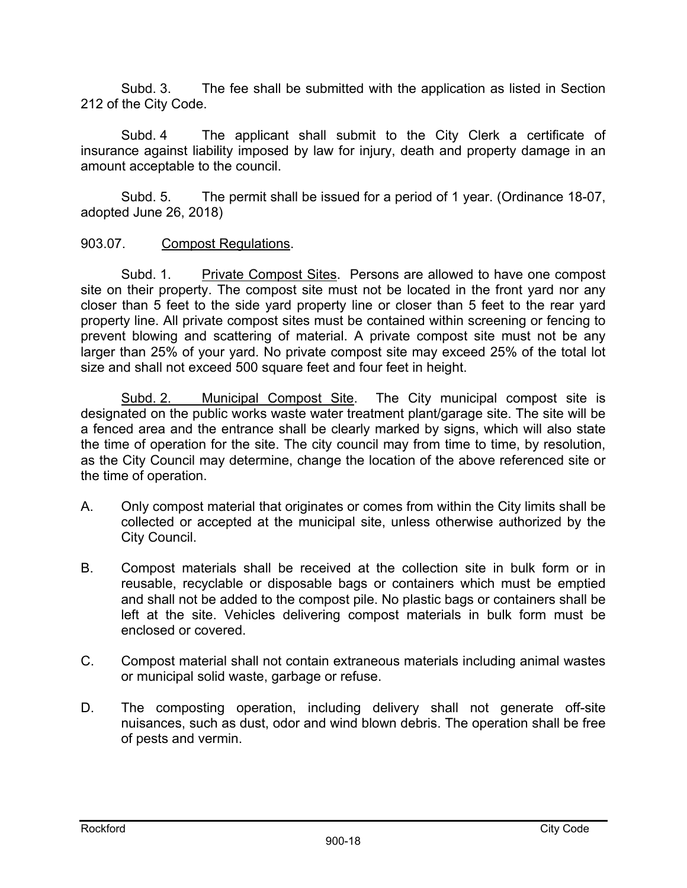Subd. 3. The fee shall be submitted with the application as listed in Section 212 of the City Code.

Subd. 4 The applicant shall submit to the City Clerk a certificate of insurance against liability imposed by law for injury, death and property damage in an amount acceptable to the council.

Subd. 5. The permit shall be issued for a period of 1 year. (Ordinance 18-07, adopted June 26, 2018)

## 903.07. Compost Regulations.

 Subd. 1. Private Compost Sites. Persons are allowed to have one compost site on their property. The compost site must not be located in the front yard nor any closer than 5 feet to the side yard property line or closer than 5 feet to the rear yard property line. All private compost sites must be contained within screening or fencing to prevent blowing and scattering of material. A private compost site must not be any larger than 25% of your yard. No private compost site may exceed 25% of the total lot size and shall not exceed 500 square feet and four feet in height.

Subd. 2. Municipal Compost Site. The City municipal compost site is designated on the public works waste water treatment plant/garage site. The site will be a fenced area and the entrance shall be clearly marked by signs, which will also state the time of operation for the site. The city council may from time to time, by resolution, as the City Council may determine, change the location of the above referenced site or the time of operation.

- A. Only compost material that originates or comes from within the City limits shall be collected or accepted at the municipal site, unless otherwise authorized by the City Council.
- B. Compost materials shall be received at the collection site in bulk form or in reusable, recyclable or disposable bags or containers which must be emptied and shall not be added to the compost pile. No plastic bags or containers shall be left at the site. Vehicles delivering compost materials in bulk form must be enclosed or covered.
- C. Compost material shall not contain extraneous materials including animal wastes or municipal solid waste, garbage or refuse.
- D. The composting operation, including delivery shall not generate off-site nuisances, such as dust, odor and wind blown debris. The operation shall be free of pests and vermin.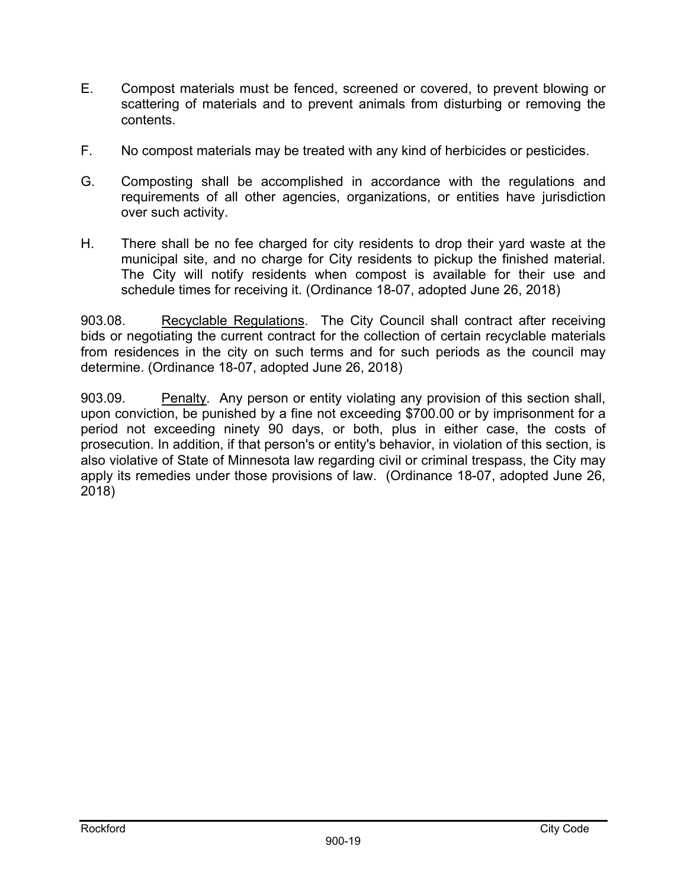- E. Compost materials must be fenced, screened or covered, to prevent blowing or scattering of materials and to prevent animals from disturbing or removing the contents.
- F. No compost materials may be treated with any kind of herbicides or pesticides.
- G. Composting shall be accomplished in accordance with the regulations and requirements of all other agencies, organizations, or entities have jurisdiction over such activity.
- H. There shall be no fee charged for city residents to drop their yard waste at the municipal site, and no charge for City residents to pickup the finished material. The City will notify residents when compost is available for their use and schedule times for receiving it. (Ordinance 18-07, adopted June 26, 2018)

903.08. Recyclable Regulations. The City Council shall contract after receiving bids or negotiating the current contract for the collection of certain recyclable materials from residences in the city on such terms and for such periods as the council may determine. (Ordinance 18-07, adopted June 26, 2018)

903.09. Penalty. Any person or entity violating any provision of this section shall, upon conviction, be punished by a fine not exceeding \$700.00 or by imprisonment for a period not exceeding ninety 90 days, or both, plus in either case, the costs of prosecution. In addition, if that person's or entity's behavior, in violation of this section, is also violative of State of Minnesota law regarding civil or criminal trespass, the City may apply its remedies under those provisions of law. (Ordinance 18-07, adopted June 26, 2018)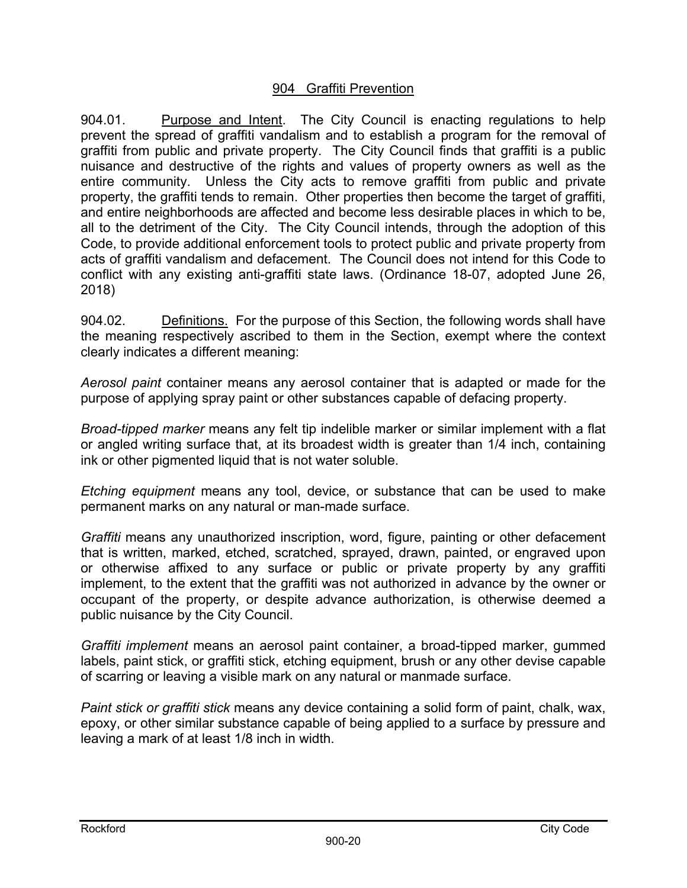### 904 Graffiti Prevention

904.01.Purpose and Intent. The City Council is enacting regulations to help prevent the spread of graffiti vandalism and to establish a program for the removal of graffiti from public and private property. The City Council finds that graffiti is a public nuisance and destructive of the rights and values of property owners as well as the entire community. Unless the City acts to remove graffiti from public and private property, the graffiti tends to remain. Other properties then become the target of graffiti, and entire neighborhoods are affected and become less desirable places in which to be, all to the detriment of the City. The City Council intends, through the adoption of this Code, to provide additional enforcement tools to protect public and private property from acts of graffiti vandalism and defacement. The Council does not intend for this Code to conflict with any existing anti-graffiti state laws. (Ordinance 18-07, adopted June 26, 2018)

904.02. Definitions. For the purpose of this Section, the following words shall have the meaning respectively ascribed to them in the Section, exempt where the context clearly indicates a different meaning:

*Aerosol paint* container means any aerosol container that is adapted or made for the purpose of applying spray paint or other substances capable of defacing property.

*Broad-tipped marker* means any felt tip indelible marker or similar implement with a flat or angled writing surface that, at its broadest width is greater than 1/4 inch, containing ink or other pigmented liquid that is not water soluble.

*Etching equipment* means any tool, device, or substance that can be used to make permanent marks on any natural or man-made surface.

*Graffiti* means any unauthorized inscription, word, figure, painting or other defacement that is written, marked, etched, scratched, sprayed, drawn, painted, or engraved upon or otherwise affixed to any surface or public or private property by any graffiti implement, to the extent that the graffiti was not authorized in advance by the owner or occupant of the property, or despite advance authorization, is otherwise deemed a public nuisance by the City Council.

*Graffiti implement* means an aerosol paint container, a broad-tipped marker, gummed labels, paint stick, or graffiti stick, etching equipment, brush or any other devise capable of scarring or leaving a visible mark on any natural or manmade surface.

*Paint stick or graffiti stick* means any device containing a solid form of paint, chalk, wax, epoxy, or other similar substance capable of being applied to a surface by pressure and leaving a mark of at least 1/8 inch in width.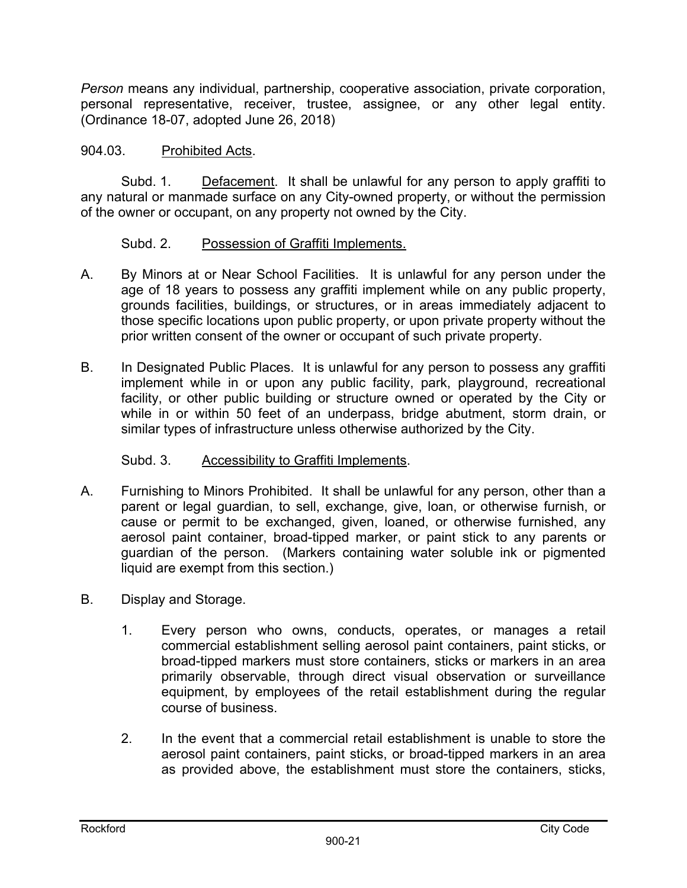*Person* means any individual, partnership, cooperative association, private corporation, personal representative, receiver, trustee, assignee, or any other legal entity. (Ordinance 18-07, adopted June 26, 2018)

## 904.03. Prohibited Acts.

 Subd. 1. Defacement. It shall be unlawful for any person to apply graffiti to any natural or manmade surface on any City-owned property, or without the permission of the owner or occupant, on any property not owned by the City.

### Subd. 2. Possession of Graffiti Implements.

- A. By Minors at or Near School Facilities. It is unlawful for any person under the age of 18 years to possess any graffiti implement while on any public property, grounds facilities, buildings, or structures, or in areas immediately adjacent to those specific locations upon public property, or upon private property without the prior written consent of the owner or occupant of such private property.
- B. In Designated Public Places. It is unlawful for any person to possess any graffiti implement while in or upon any public facility, park, playground, recreational facility, or other public building or structure owned or operated by the City or while in or within 50 feet of an underpass, bridge abutment, storm drain, or similar types of infrastructure unless otherwise authorized by the City.

## Subd. 3. Accessibility to Graffiti Implements.

- A. Furnishing to Minors Prohibited. It shall be unlawful for any person, other than a parent or legal guardian, to sell, exchange, give, loan, or otherwise furnish, or cause or permit to be exchanged, given, loaned, or otherwise furnished, any aerosol paint container, broad-tipped marker, or paint stick to any parents or guardian of the person. (Markers containing water soluble ink or pigmented liquid are exempt from this section.)
- B. Display and Storage.
	- 1. Every person who owns, conducts, operates, or manages a retail commercial establishment selling aerosol paint containers, paint sticks, or broad-tipped markers must store containers, sticks or markers in an area primarily observable, through direct visual observation or surveillance equipment, by employees of the retail establishment during the regular course of business.
	- 2. In the event that a commercial retail establishment is unable to store the aerosol paint containers, paint sticks, or broad-tipped markers in an area as provided above, the establishment must store the containers, sticks,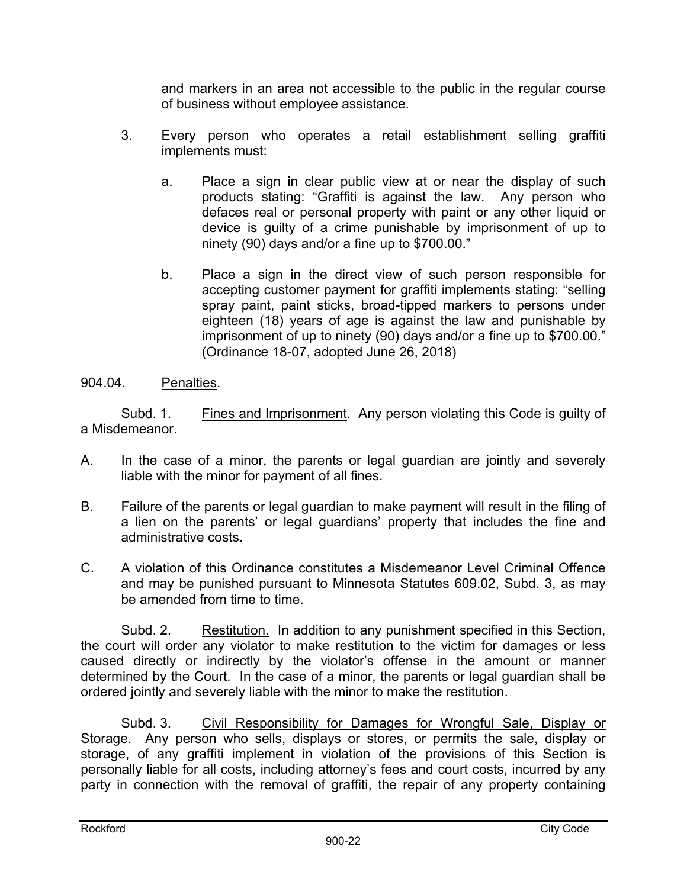and markers in an area not accessible to the public in the regular course of business without employee assistance.

- 3. Every person who operates a retail establishment selling graffiti implements must:
	- a. Place a sign in clear public view at or near the display of such products stating: "Graffiti is against the law. Any person who defaces real or personal property with paint or any other liquid or device is guilty of a crime punishable by imprisonment of up to ninety (90) days and/or a fine up to \$700.00."
	- b. Place a sign in the direct view of such person responsible for accepting customer payment for graffiti implements stating: "selling spray paint, paint sticks, broad-tipped markers to persons under eighteen (18) years of age is against the law and punishable by imprisonment of up to ninety (90) days and/or a fine up to \$700.00." (Ordinance 18-07, adopted June 26, 2018)

## 904.04. Penalties.

Subd. 1. Fines and Imprisonment. Any person violating this Code is guilty of a Misdemeanor.

- A. In the case of a minor, the parents or legal guardian are jointly and severely liable with the minor for payment of all fines.
- B. Failure of the parents or legal guardian to make payment will result in the filing of a lien on the parents' or legal guardians' property that includes the fine and administrative costs.
- C. A violation of this Ordinance constitutes a Misdemeanor Level Criminal Offence and may be punished pursuant to Minnesota Statutes 609.02, Subd. 3, as may be amended from time to time.

Subd. 2. Restitution. In addition to any punishment specified in this Section, the court will order any violator to make restitution to the victim for damages or less caused directly or indirectly by the violator's offense in the amount or manner determined by the Court. In the case of a minor, the parents or legal guardian shall be ordered jointly and severely liable with the minor to make the restitution.

Subd. 3. Civil Responsibility for Damages for Wrongful Sale, Display or Storage. Any person who sells, displays or stores, or permits the sale, display or storage, of any graffiti implement in violation of the provisions of this Section is personally liable for all costs, including attorney's fees and court costs, incurred by any party in connection with the removal of graffiti, the repair of any property containing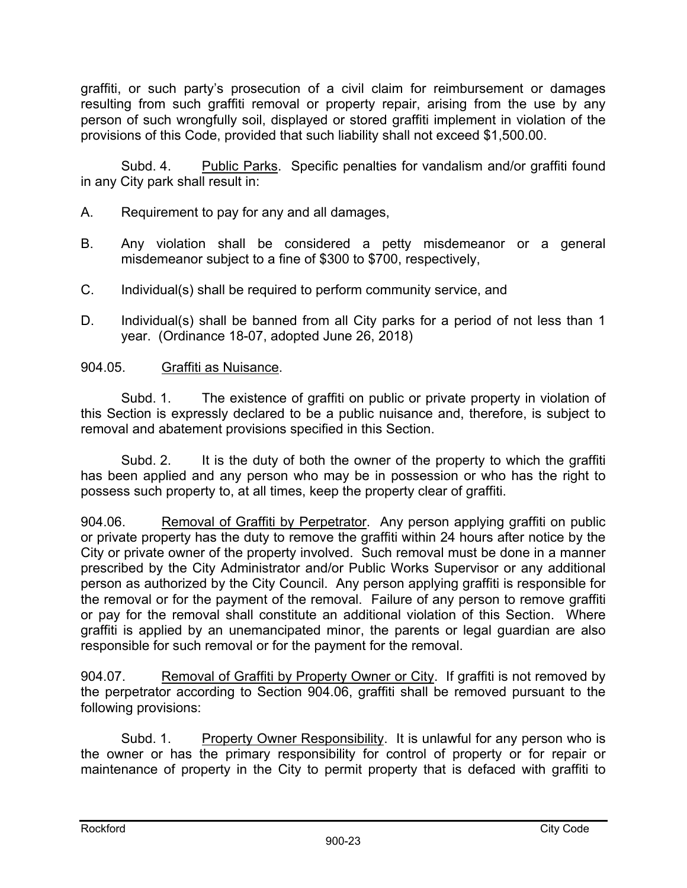graffiti, or such party's prosecution of a civil claim for reimbursement or damages resulting from such graffiti removal or property repair, arising from the use by any person of such wrongfully soil, displayed or stored graffiti implement in violation of the provisions of this Code, provided that such liability shall not exceed \$1,500.00.

Subd. 4. Public Parks. Specific penalties for vandalism and/or graffiti found in any City park shall result in:

- A. Requirement to pay for any and all damages,
- B. Any violation shall be considered a petty misdemeanor or a general misdemeanor subject to a fine of \$300 to \$700, respectively,
- C. Individual(s) shall be required to perform community service, and
- D. Individual(s) shall be banned from all City parks for a period of not less than 1 year. (Ordinance 18-07, adopted June 26, 2018)

## 904.05. Graffiti as Nuisance.

Subd. 1. The existence of graffiti on public or private property in violation of this Section is expressly declared to be a public nuisance and, therefore, is subject to removal and abatement provisions specified in this Section.

Subd. 2. It is the duty of both the owner of the property to which the graffiti has been applied and any person who may be in possession or who has the right to possess such property to, at all times, keep the property clear of graffiti.

904.06. Removal of Graffiti by Perpetrator. Any person applying graffiti on public or private property has the duty to remove the graffiti within 24 hours after notice by the City or private owner of the property involved. Such removal must be done in a manner prescribed by the City Administrator and/or Public Works Supervisor or any additional person as authorized by the City Council. Any person applying graffiti is responsible for the removal or for the payment of the removal. Failure of any person to remove graffiti or pay for the removal shall constitute an additional violation of this Section. Where graffiti is applied by an unemancipated minor, the parents or legal guardian are also responsible for such removal or for the payment for the removal.

904.07. Removal of Graffiti by Property Owner or City. If graffiti is not removed by the perpetrator according to Section 904.06, graffiti shall be removed pursuant to the following provisions:

Subd. 1. Property Owner Responsibility. It is unlawful for any person who is the owner or has the primary responsibility for control of property or for repair or maintenance of property in the City to permit property that is defaced with graffiti to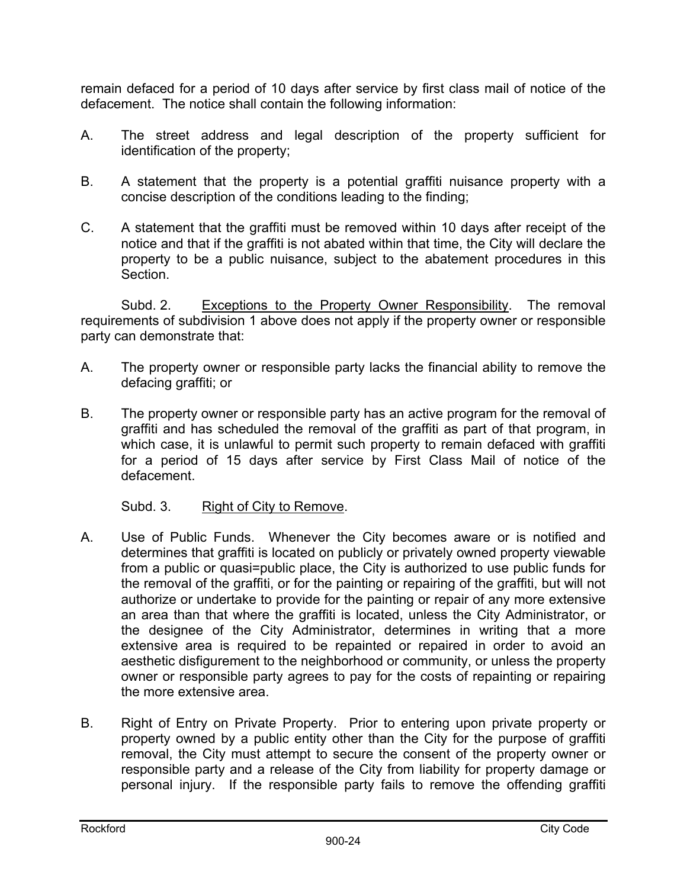remain defaced for a period of 10 days after service by first class mail of notice of the defacement. The notice shall contain the following information:

- A. The street address and legal description of the property sufficient for identification of the property;
- B. A statement that the property is a potential graffiti nuisance property with a concise description of the conditions leading to the finding;
- C. A statement that the graffiti must be removed within 10 days after receipt of the notice and that if the graffiti is not abated within that time, the City will declare the property to be a public nuisance, subject to the abatement procedures in this Section.

Subd. 2. Exceptions to the Property Owner Responsibility. The removal requirements of subdivision 1 above does not apply if the property owner or responsible party can demonstrate that:

- A. The property owner or responsible party lacks the financial ability to remove the defacing graffiti; or
- B. The property owner or responsible party has an active program for the removal of graffiti and has scheduled the removal of the graffiti as part of that program, in which case, it is unlawful to permit such property to remain defaced with graffiti for a period of 15 days after service by First Class Mail of notice of the defacement.

Subd. 3. Right of City to Remove.

- A. Use of Public Funds. Whenever the City becomes aware or is notified and determines that graffiti is located on publicly or privately owned property viewable from a public or quasi=public place, the City is authorized to use public funds for the removal of the graffiti, or for the painting or repairing of the graffiti, but will not authorize or undertake to provide for the painting or repair of any more extensive an area than that where the graffiti is located, unless the City Administrator, or the designee of the City Administrator, determines in writing that a more extensive area is required to be repainted or repaired in order to avoid an aesthetic disfigurement to the neighborhood or community, or unless the property owner or responsible party agrees to pay for the costs of repainting or repairing the more extensive area.
- B. Right of Entry on Private Property. Prior to entering upon private property or property owned by a public entity other than the City for the purpose of graffiti removal, the City must attempt to secure the consent of the property owner or responsible party and a release of the City from liability for property damage or personal injury. If the responsible party fails to remove the offending graffiti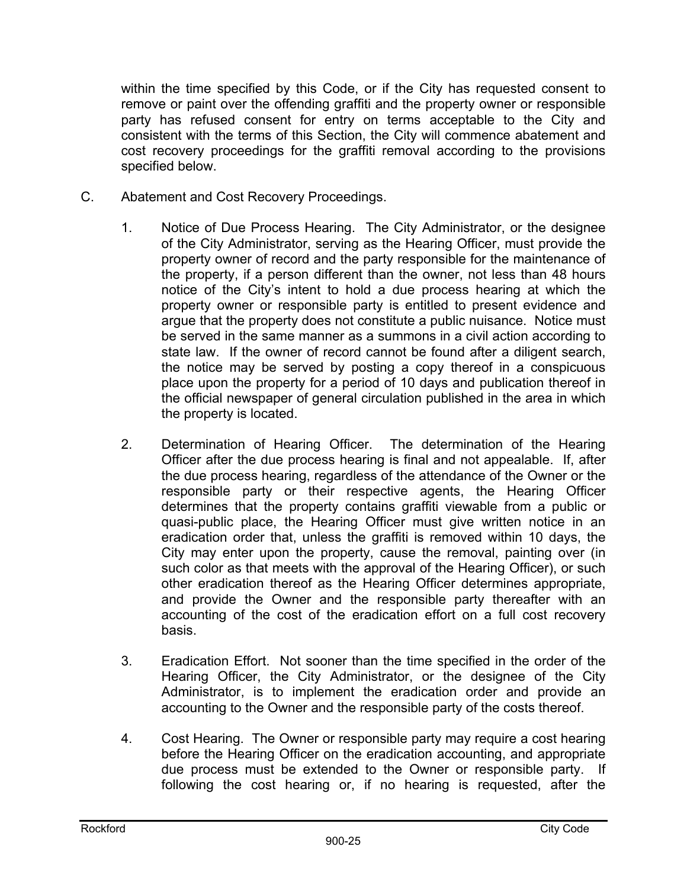within the time specified by this Code, or if the City has requested consent to remove or paint over the offending graffiti and the property owner or responsible party has refused consent for entry on terms acceptable to the City and consistent with the terms of this Section, the City will commence abatement and cost recovery proceedings for the graffiti removal according to the provisions specified below.

- C. Abatement and Cost Recovery Proceedings.
	- 1. Notice of Due Process Hearing. The City Administrator, or the designee of the City Administrator, serving as the Hearing Officer, must provide the property owner of record and the party responsible for the maintenance of the property, if a person different than the owner, not less than 48 hours notice of the City's intent to hold a due process hearing at which the property owner or responsible party is entitled to present evidence and argue that the property does not constitute a public nuisance. Notice must be served in the same manner as a summons in a civil action according to state law. If the owner of record cannot be found after a diligent search, the notice may be served by posting a copy thereof in a conspicuous place upon the property for a period of 10 days and publication thereof in the official newspaper of general circulation published in the area in which the property is located.
	- 2. Determination of Hearing Officer. The determination of the Hearing Officer after the due process hearing is final and not appealable. If, after the due process hearing, regardless of the attendance of the Owner or the responsible party or their respective agents, the Hearing Officer determines that the property contains graffiti viewable from a public or quasi-public place, the Hearing Officer must give written notice in an eradication order that, unless the graffiti is removed within 10 days, the City may enter upon the property, cause the removal, painting over (in such color as that meets with the approval of the Hearing Officer), or such other eradication thereof as the Hearing Officer determines appropriate, and provide the Owner and the responsible party thereafter with an accounting of the cost of the eradication effort on a full cost recovery basis.
	- 3. Eradication Effort. Not sooner than the time specified in the order of the Hearing Officer, the City Administrator, or the designee of the City Administrator, is to implement the eradication order and provide an accounting to the Owner and the responsible party of the costs thereof.
	- 4. Cost Hearing. The Owner or responsible party may require a cost hearing before the Hearing Officer on the eradication accounting, and appropriate due process must be extended to the Owner or responsible party. If following the cost hearing or, if no hearing is requested, after the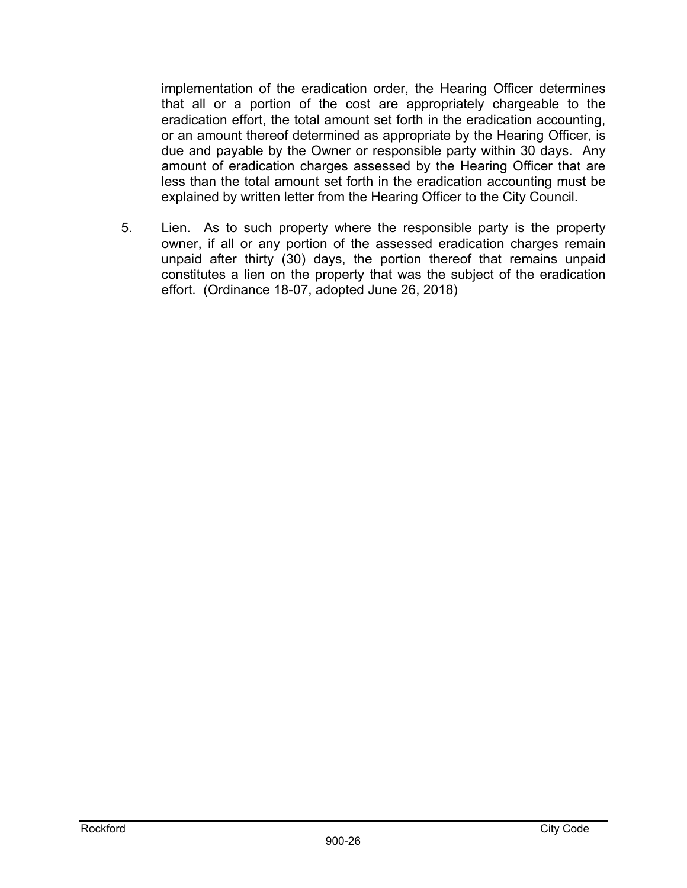implementation of the eradication order, the Hearing Officer determines that all or a portion of the cost are appropriately chargeable to the eradication effort, the total amount set forth in the eradication accounting, or an amount thereof determined as appropriate by the Hearing Officer, is due and payable by the Owner or responsible party within 30 days. Any amount of eradication charges assessed by the Hearing Officer that are less than the total amount set forth in the eradication accounting must be explained by written letter from the Hearing Officer to the City Council.

5. Lien. As to such property where the responsible party is the property owner, if all or any portion of the assessed eradication charges remain unpaid after thirty (30) days, the portion thereof that remains unpaid constitutes a lien on the property that was the subject of the eradication effort. (Ordinance 18-07, adopted June 26, 2018)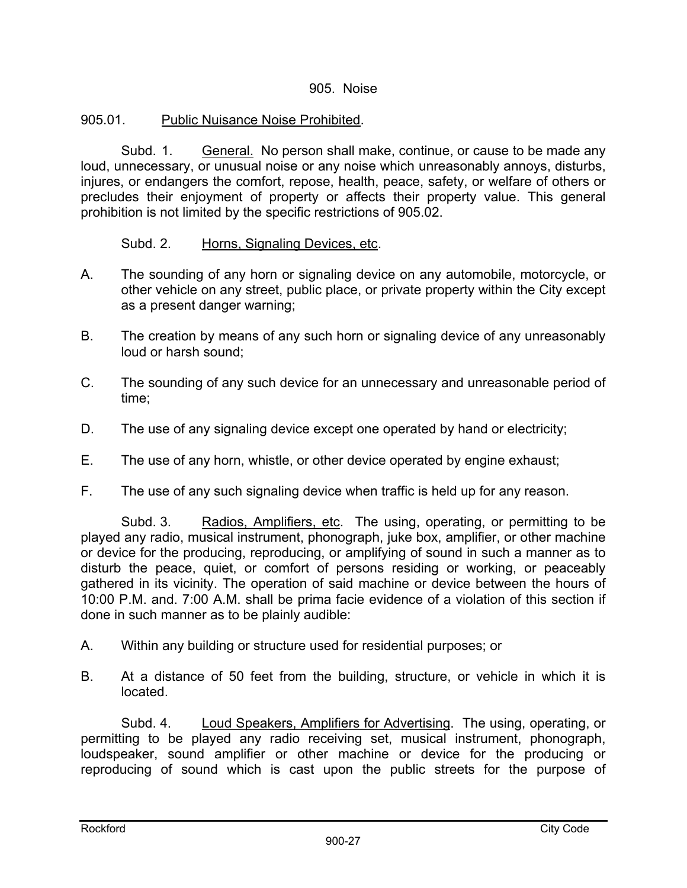### 905. Noise

# 905.01. Public Nuisance Noise Prohibited.

Subd. 1. General. No person shall make, continue, or cause to be made any loud, unnecessary, or unusual noise or any noise which unreasonably annoys, disturbs, injures, or endangers the comfort, repose, health, peace, safety, or welfare of others or precludes their enjoyment of property or affects their property value. This general prohibition is not limited by the specific restrictions of 905.02.

### Subd. 2. Horns, Signaling Devices, etc.

- A. The sounding of any horn or signaling device on any automobile, motorcycle, or other vehicle on any street, public place, or private property within the City except as a present danger warning;
- B. The creation by means of any such horn or signaling device of any unreasonably loud or harsh sound;
- C. The sounding of any such device for an unnecessary and unreasonable period of time;
- D. The use of any signaling device except one operated by hand or electricity;
- E. The use of any horn, whistle, or other device operated by engine exhaust;
- F. The use of any such signaling device when traffic is held up for any reason.

Subd. 3. Radios, Amplifiers, etc. The using, operating, or permitting to be played any radio, musical instrument, phonograph, juke box, amplifier, or other machine or device for the producing, reproducing, or amplifying of sound in such a manner as to disturb the peace, quiet, or comfort of persons residing or working, or peaceably gathered in its vicinity. The operation of said machine or device between the hours of 10:00 P.M. and. 7:00 A.M. shall be prima facie evidence of a violation of this section if done in such manner as to be plainly audible:

- A. Within any building or structure used for residential purposes; or
- B. At a distance of 50 feet from the building, structure, or vehicle in which it is located.

Subd. 4. Loud Speakers, Amplifiers for Advertising. The using, operating, or permitting to be played any radio receiving set, musical instrument, phonograph, loudspeaker, sound amplifier or other machine or device for the producing or reproducing of sound which is cast upon the public streets for the purpose of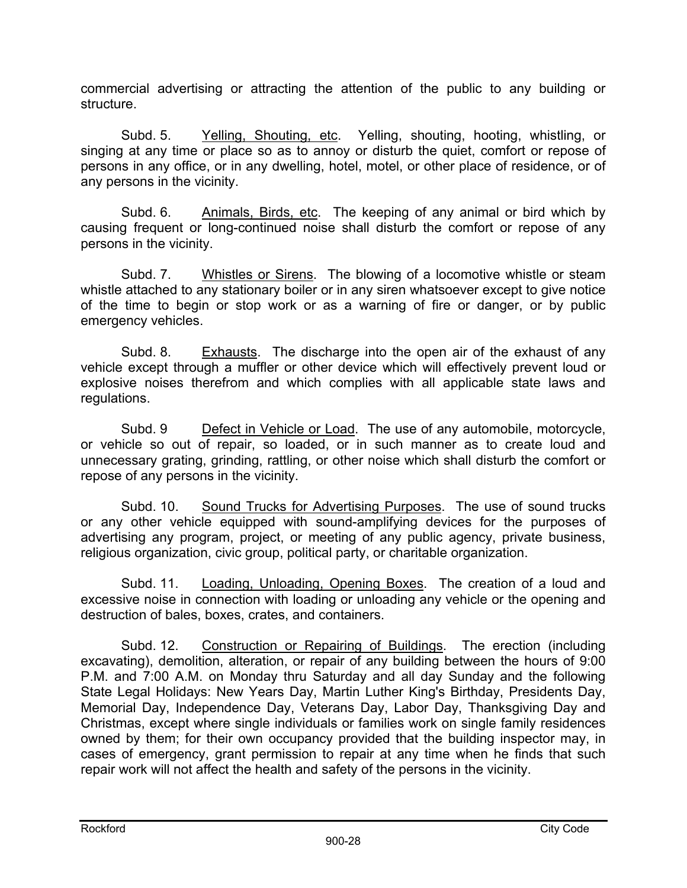commercial advertising or attracting the attention of the public to any building or structure.

 Subd. 5. Yelling, Shouting, etc. Yelling, shouting, hooting, whistling, or singing at any time or place so as to annoy or disturb the quiet, comfort or repose of persons in any office, or in any dwelling, hotel, motel, or other place of residence, or of any persons in the vicinity.

 Subd. 6. Animals, Birds, etc. The keeping of any animal or bird which by causing frequent or long-continued noise shall disturb the comfort or repose of any persons in the vicinity.

 Subd. 7. Whistles or Sirens. The blowing of a locomotive whistle or steam whistle attached to any stationary boiler or in any siren whatsoever except to give notice of the time to begin or stop work or as a warning of fire or danger, or by public emergency vehicles.

 Subd. 8. Exhausts. The discharge into the open air of the exhaust of any vehicle except through a muffler or other device which will effectively prevent loud or explosive noises therefrom and which complies with all applicable state laws and regulations.

 Subd. 9 Defect in Vehicle or Load. The use of any automobile, motorcycle, or vehicle so out of repair, so loaded, or in such manner as to create loud and unnecessary grating, grinding, rattling, or other noise which shall disturb the comfort or repose of any persons in the vicinity.

 Subd. 10. Sound Trucks for Advertising Purposes. The use of sound trucks or any other vehicle equipped with sound-amplifying devices for the purposes of advertising any program, project, or meeting of any public agency, private business, religious organization, civic group, political party, or charitable organization.

 Subd. 11. Loading, Unloading, Opening Boxes. The creation of a loud and excessive noise in connection with loading or unloading any vehicle or the opening and destruction of bales, boxes, crates, and containers.

 Subd. 12. Construction or Repairing of Buildings. The erection (including excavating), demolition, alteration, or repair of any building between the hours of 9:00 P.M. and 7:00 A.M. on Monday thru Saturday and all day Sunday and the following State Legal Holidays: New Years Day, Martin Luther King's Birthday, Presidents Day, Memorial Day, Independence Day, Veterans Day, Labor Day, Thanksgiving Day and Christmas, except where single individuals or families work on single family residences owned by them; for their own occupancy provided that the building inspector may, in cases of emergency, grant permission to repair at any time when he finds that such repair work will not affect the health and safety of the persons in the vicinity.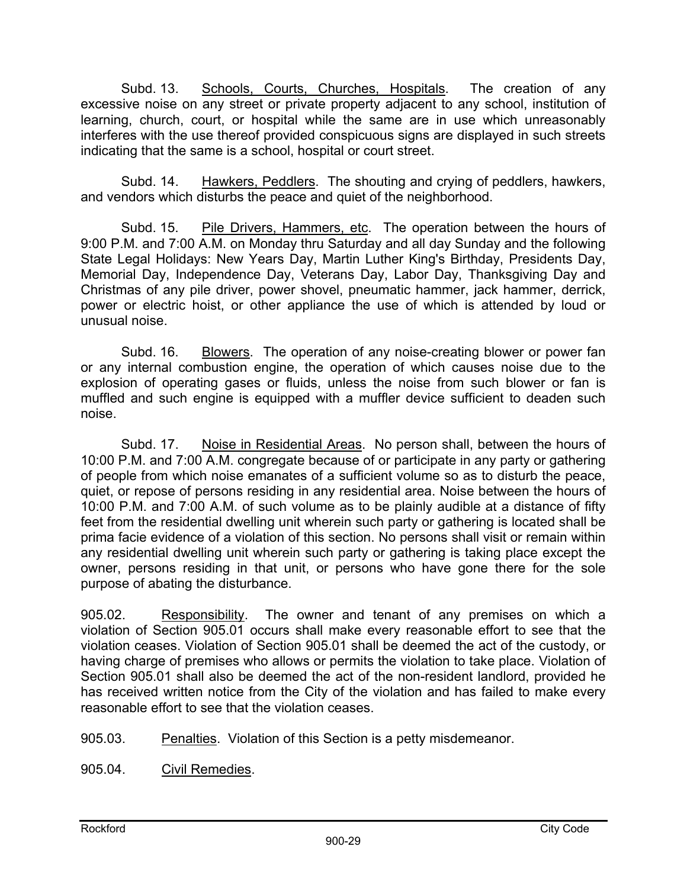Subd. 13. Schools, Courts, Churches, Hospitals. The creation of any excessive noise on any street or private property adjacent to any school, institution of learning, church, court, or hospital while the same are in use which unreasonably interferes with the use thereof provided conspicuous signs are displayed in such streets indicating that the same is a school, hospital or court street.

 Subd. 14. Hawkers, Peddlers. The shouting and crying of peddlers, hawkers, and vendors which disturbs the peace and quiet of the neighborhood.

 Subd. 15. Pile Drivers, Hammers, etc. The operation between the hours of 9:00 P.M. and 7:00 A.M. on Monday thru Saturday and all day Sunday and the following State Legal Holidays: New Years Day, Martin Luther King's Birthday, Presidents Day, Memorial Day, Independence Day, Veterans Day, Labor Day, Thanksgiving Day and Christmas of any pile driver, power shovel, pneumatic hammer, jack hammer, derrick, power or electric hoist, or other appliance the use of which is attended by loud or unusual noise.

 Subd. 16. Blowers. The operation of any noise-creating blower or power fan or any internal combustion engine, the operation of which causes noise due to the explosion of operating gases or fluids, unless the noise from such blower or fan is muffled and such engine is equipped with a muffler device sufficient to deaden such noise.

 Subd. 17. Noise in Residential Areas. No person shall, between the hours of 10:00 P.M. and 7:00 A.M. congregate because of or participate in any party or gathering of people from which noise emanates of a sufficient volume so as to disturb the peace, quiet, or repose of persons residing in any residential area. Noise between the hours of 10:00 P.M. and 7:00 A.M. of such volume as to be plainly audible at a distance of fifty feet from the residential dwelling unit wherein such party or gathering is located shall be prima facie evidence of a violation of this section. No persons shall visit or remain within any residential dwelling unit wherein such party or gathering is taking place except the owner, persons residing in that unit, or persons who have gone there for the sole purpose of abating the disturbance.

905.02. Responsibility. The owner and tenant of any premises on which a violation of Section 905.01 occurs shall make every reasonable effort to see that the violation ceases. Violation of Section 905.01 shall be deemed the act of the custody, or having charge of premises who allows or permits the violation to take place. Violation of Section 905.01 shall also be deemed the act of the non-resident landlord, provided he has received written notice from the City of the violation and has failed to make every reasonable effort to see that the violation ceases.

905.03. Penalties. Violation of this Section is a petty misdemeanor.

905.04. Civil Remedies.